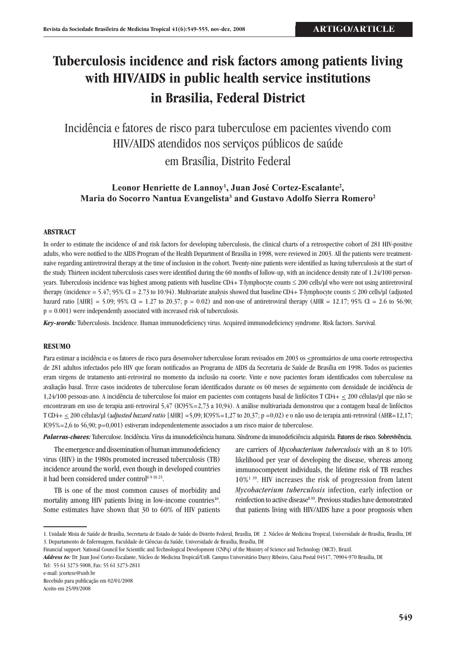# **Tuberculosis incidence and risk factors among patients living with HIV/AIDS in public health service institutions in Brasilia, Federal District**

Incidência e fatores de risco para tuberculose em pacientes vivendo com HIV/AIDS atendidos nos serviços públicos de saúde em Brasília, Distrito Federal

Leonor Henriette de Lannoy<sup>1</sup>, Juan José Cortez-Escalante<sup>2</sup>, **Maria do Socorro Nantua Evangelista3 and Gustavo Adolfo Sierra Romero2**

## **ABSTRACT**

In order to estimate the incidence of and risk factors for developing tuberculosis, the clinical charts of a retrospective cohort of 281 HIV-positive adults, who were notified to the AIDS Program of the Health Department of Brasilia in 1998, were reviewed in 2003. All the patients were treatmentnaive regarding antiretroviral therapy at the time of inclusion in the cohort. Twenty-nine patients were identified as having tuberculosis at the start of the study. Thirteen incident tuberculosis cases were identified during the 60 months of follow-up, with an incidence density rate of 1.24/100 personyears. Tuberculosis incidence was highest among patients with baseline CD4+ T-lymphocyte counts ≤ 200 cells/µl who were not using antiretroviral therapy (incidence = 5.47; 95% CI = 2.73 to 10.94). Multivariate analysis showed that baseline CD4+ T-lymphocyte counts  $\leq$  200 cells/µl (adjusted hazard ratio  $[AHR] = 5.09$ ; 95% CI = 1.27 to 20.37; p = 0.02) and non-use of antiretroviral therapy (AHR = 12.17; 95% CI = 2.6 to 56.90;  $p = 0.001$ ) were independently associated with increased risk of tuberculosis.

*Key-words:* Tuberculosis. Incidence. Human immunodeficiency virus. Acquired immunodeficiency syndrome. Risk factors. Survival.

#### **RESUMO**

Para estimar a incidência e os fatores de risco para desenvolver tuberculose foram revisados em 2003 os  $\leq$ prontuários de uma coorte retrospectiva de 281 adultos infectados pelo HIV que foram notificados ao Programa de Aids da Secretaria de Saúde de Brasília em 1998. Todos os pacientes eram virgens de tratamento anti-retroviral no momento da inclusão na coorte. Vinte e nove pacientes foram identificados com tuberculose na avaliação basal. Treze casos incidentes de tuberculose foram identificados durante os 60 meses de seguimento com densidade de incidência de 1,24/100 pessoas-ano. A incidência de tuberculose foi maior em pacientes com contagens basal de linfócitos T CD4+ < 200 células/µl que não se encontravam em uso de terapia anti-retroviral 5,47 (IC95%=2,73 a 10,94). A análise multivariada demonstrou que a contagem basal de linfócitos T CD4+ < 200 células/µl (a*djusted hazard ratio* [AHR] =5,09; IC95%=1,27 to 20,37; p =0,02) e o não uso de terapia anti-retroviral (AHR=12,17; IC95%=2,6 to 56,90; p=0,001) estiveram independentemente associados a um risco maior de tuberculose.

*Palavras-chaves:* Tuberculose. Incidência. Vírus da imunodeficiência humana. Síndrome da imunodeficiência adquirida. Fatores de risco. Sobrevivência.

The emergence and dissemination of human immunodeficiency virus (HIV) in the 1980s promoted increased tuberculosis (TB) incidence around the world, even though in developed countries it had been considered under control<sup>69 10 25</sup>.

TB is one of the most common causes of morbidity and mortality among HIV patients living in low-income countries<sup>10</sup>. Some estimates have shown that 30 to 60% of HIV patients

are carriers of *Mycobacterium tuberculosis* with an 8 to 10% likelihood per year of developing the disease, whereas among immunocompetent individuals, the lifetime risk of TB reaches  $10\%$ <sup>139</sup>. HIV increases the risk of progression from latent *Mycobacterium tuberculosis* infection, early infection or reinfection to active disease<sup>810</sup>. Previous studies have demonstrated that patients living with HIV/AIDS have a poor prognosis when

e-mail: jcorteze@unb.br

Recebido para publicação em 02/01/2008 Aceito em 25/09/2008

<sup>1.</sup> Unidade Mista de Saúde de Brasília, Secretaria de Estado de Saúde do Distrito Federal, Brasília, DF. 2. Núcleo de Medicina Tropical, Universidade de Brasília, Brasília, DF. 3. Departamento de Enfermagem, Faculdade de Ciências da Saúde, Universidade de Brasília, Brasília, DF.

Financial support: National Council for Scientific and Technological Development (CNPq) of the Ministry of Science and Technology (MCT), Brazil.

*Address to:* Dr. Juan José Cortez-Escalante, Núcleo de Medicina Tropical/UnB. Campus Universitário Darcy Ribeiro, Caixa Postal 04517, 70904-970 Brasília, DF. Tel: 55 61 3273-5008, Fax: 55 61 3273-2811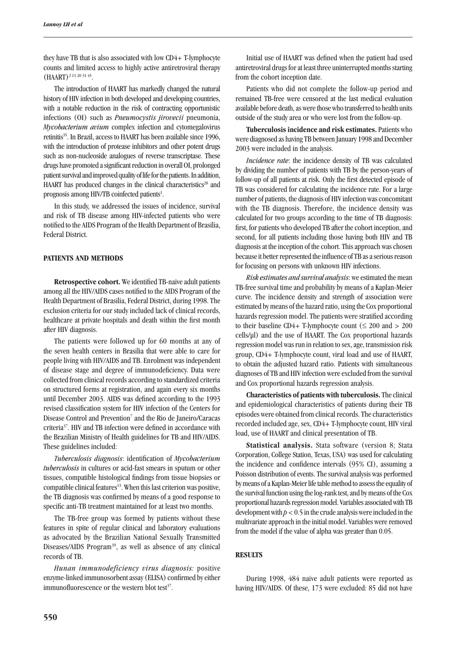they have TB that is also associated with low CD4+ T-lymphocyte counts and limited access to highly active antiretroviral therapy (HAART)2 11 20 31 45.

The introduction of HAART has markedly changed the natural history of HIV infection in both developed and developing countries, with a notable reduction in the risk of contracting opportunistic infections (OI) such as *Pneumocystis jirovecii* pneumonia, *Mycobacterium avium* complex infection and cytomegalovirus retinitis<sup>35</sup>. In Brazil, access to HAART has been available since 1996, with the introduction of protease inhibitors and other potent drugs such as non-nucleoside analogues of reverse transcriptase. These drugs have promoted a significant reduction in overall OI, prolonged patient survival and improved quality of life for the patients. In addition, HAART has produced changes in the clinical characteristics<sup>28</sup> and prognosis among HIV/TB coinfected patients<sup>1</sup>.

In this study, we addressed the issues of incidence, survival and risk of TB disease among HIV-infected patients who were notified to the AIDS Program of the Health Department of Brasilia, Federal District.

## **PATIENTS AND METHODS**

**Retrospective cohort.** We identified TB-naive adult patients among all the HIV/AIDS cases notified to the AIDS Program of the Health Department of Brasilia, Federal District, during 1998. The exclusion criteria for our study included lack of clinical records, healthcare at private hospitals and death within the first month after HIV diagnosis.

The patients were followed up for 60 months at any of the seven health centers in Brasilia that were able to care for people living with HIV/AIDS and TB. Enrolment was independent of disease stage and degree of immunodeficiency. Data were collected from clinical records according to standardized criteria on structured forms at registration, and again every six months until December 2003. AIDS was defined according to the 1993 revised classification system for HIV infection of the Centers for Disease Control and Prevention<sup>7</sup> and the Rio de Janeiro/Caracas criteria37. HIV and TB infection were defined in accordance with the Brazilian Ministry of Health guidelines for TB and HIV/AIDS. These guidelines included:

*Tuberculosis diagnosis*: identification of *Mycobacterium tuberculosis* in cultures or acid-fast smears in sputum or other tissues, compatible histological findings from tissue biopsies or compatible clinical features<sup>13</sup>. When this last criterion was positive, the TB diagnosis was confirmed by means of a good response to specific anti-TB treatment maintained for at least two months.

The TB-free group was formed by patients without these features in spite of regular clinical and laboratory evaluations as advocated by the Brazilian National Sexually Transmitted Diseases/AIDS Program<sup>39</sup>, as well as absence of any clinical records of TB.

*Hunan immunodeficiency virus diagnosis:* positive enzyme-linked immunosorbent assay (ELISA) confirmed by either immunofluorescence or the western blot test<sup>37</sup>.

Initial use of HAART was defined when the patient had used antiretroviral drugs for at least three uninterrupted months starting from the cohort inception date.

Patients who did not complete the follow-up period and remained TB-free were censored at the last medical evaluation available before death, as were those who transferred to health units outside of the study area or who were lost from the follow-up.

**Tuberculosis incidence and risk estimates.** Patients who were diagnosed as having TB between January 1998 and December 2003 were included in the analysis.

*Incidence rate*: the incidence density of TB was calculated by dividing the number of patients with TB by the person-years of follow-up of all patients at risk. Only the first detected episode of TB was considered for calculating the incidence rate. For a large number of patients, the diagnosis of HIV infection was concomitant with the TB diagnosis. Therefore, the incidence density was calculated for two groups according to the time of TB diagnosis: first, for patients who developed TB after the cohort inception, and second, for all patients including those having both HIV and TB diagnosis at the inception of the cohort. This approach was chosen because it better represented the influence of TB as a serious reason for focusing on persons with unknown HIV infections.

*Risk estimates and survival analysis*: we estimated the mean TB-free survival time and probability by means of a Kaplan-Meier curve. The incidence density and strength of association were estimated by means of the hazard ratio, using the Cox proportional hazards regression model. The patients were stratified according to their baseline CD4+ T-lymphocyte count ( $\leq 200$  and  $> 200$ cells/µl) and the use of HAART. The Cox proportional hazards regression model was run in relation to sex, age, transmission risk group, CD4+ T-lymphocyte count, viral load and use of HAART, to obtain the adjusted hazard ratio. Patients with simultaneous diagnoses of TB and HIV infection were excluded from the survival and Cox proportional hazards regression analysis.

**Characteristics of patients with tuberculosis.** The clinical and epidemiological characteristics of patients during their TB episodes were obtained from clinical records. The characteristics recorded included age, sex, CD4+ T-lymphocyte count, HIV viral load, use of HAART and clinical presentation of TB.

**Statistical analysis.** Stata software (version 8; Stata Corporation, College Station, Texas, USA) was used for calculating the incidence and confidence intervals (95% CI), assuming a Poisson distribution of events. The survival analysis was performed by means of a Kaplan-Meier life table method to assess the equality of the survival function using the log-rank test, and by means of the Cox proportional hazards regression model. Variables associated with TB development with *p* < 0.5 in the crude analysis were included in the multivariate approach in the initial model. Variables were removed from the model if the value of alpha was greater than 0.05.

#### **RESULTS**

During 1998, 484 naive adult patients were reported as having HIV/AIDS. Of these, 173 were excluded: 85 did not have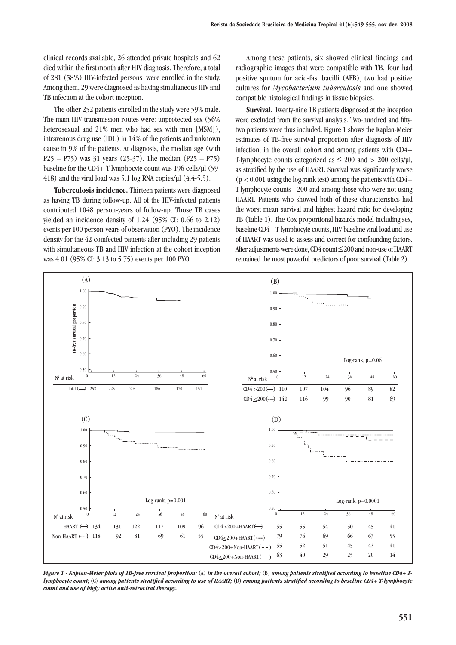clinical records available, 26 attended private hospitals and 62 died within the first month after HIV diagnosis. Therefore, a total of 281 (58%) HIV-infected persons were enrolled in the study. Among them, 29 were diagnosed as having simultaneous HIV and TB infection at the cohort inception.

The other 252 patients enrolled in the study were 59% male. The main HIV transmission routes were: unprotected sex (56% heterosexual and 21% men who had sex with men [MSM]), intravenous drug use (IDU) in 14% of the patients and unknown cause in 9% of the patients. At diagnosis, the median age (with P25 – P75) was 31 years (25-37). The median (P25 – P75) baseline for the CD4+ T-lymphocyte count was 196 cells/µl (59- 418) and the viral load was 5.1 log RNA copies/ $\mu$ l (4.4-5.5).

**Tuberculosis incidence.** Thirteen patients were diagnosed as having TB during follow-up. All of the HIV-infected patients contributed 1048 person-years of follow-up. Those TB cases yielded an incidence density of 1.24 (95% CI: 0.66 to 2.12) events per 100 person-years of observation (PYO). The incidence density for the 42 coinfected patients after including 29 patients with simultaneous TB and HIV infection at the cohort inception was 4.01 (95% CI: 3.13 to 5.75) events per 100 PYO.

Among these patients, six showed clinical findings and radiographic images that were compatible with TB, four had positive sputum for acid-fast bacilli (AFB), two had positive cultures for *Mycobacterium tuberculosis* and one showed compatible histological findings in tissue biopsies.

**Survival.** Twenty-nine TB patients diagnosed at the inception were excluded from the survival analysis. Two-hundred and fiftytwo patients were thus included. Figure 1 shows the Kaplan-Meier estimates of TB-free survival proportion after diagnosis of HIV infection, in the overall cohort and among patients with CD4+ T-lymphocyte counts categorized as  $\leq 200$  and  $> 200$  cells/µl, as stratified by the use of HAART. Survival was significantly worse  $(p < 0.001$  using the log-rank test) among the patients with CD4+ T-lymphocyte counts 200 and among those who were not using HAART. Patients who showed both of these characteristics had the worst mean survival and highest hazard ratio for developing TB (Table 1). The Cox proportional hazards model including sex, baseline CD4+ T-lymphocyte counts, HIV baseline viral load and use of HAART was used to assess and correct for confounding factors. After adjustments were done, CD4 count ≤ 200 and non-use of HAART remained the most powerful predictors of poor survival (Table 2).



*Figure 1 - Kaplan-Meier plots of TB-free survival proportion:* (a) *in the overall cohort;* (b) *among patients stratified according to baseline CD4+ Tlymphocyte count;* (C) among patients stratified according to use of HAART; (D) among patients stratified according to baseline CD4+ T-lymphocyte *count and use of higly active anti-retroviral therapy.*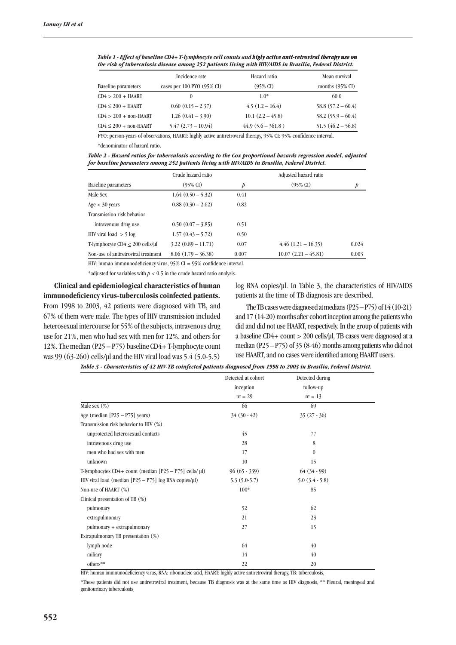|                                   | Incidence rate             | Hazard ratio        | Mean survival              |
|-----------------------------------|----------------------------|---------------------|----------------------------|
| <b>Baseline</b> parameters        | cases per 100 PYO (95% CI) | $(95\% \text{ CI})$ | months $(95\% \text{ CI})$ |
| $CD4 > 200 + HAART$               |                            | $1.0*$              | 60.0                       |
| $CD4 \leq 200 + HANRT$            | $0.60(0.15-2.37)$          | $4.5(1.2-16.4)$     | $58.8(57.2 - 60.4)$        |
| $CD4 > 200 + non-HAART$           | $1.26(0.41 - 3.90)$        | $10.1 (2.2 - 45.8)$ | $58.2(55.9 - 60.4)$        |
| $CD4 \leq 200 + \text{non-HAART}$ | $5.47(2.73 - 10.94)$       | $44.9(5.6 - 361.8)$ | $51.5(46.2 - 56.8)$        |

*Table 1 - Effect of baseline CD4+ T-lymphocyte cell counts and higly active anti-retroviral therapy use on the risk of tuberculosis disease among 252 patients living with HIV/AIDS in Brasilia, Federal District.*

PYO: person-years of observations, HAART: highly active antiretroviral therapy, 95% CI: 95% confidence interval. \*denominator of hazard ratio.

*Table 2 - Hazard ratios for tuberculosis according to the Cox proportional hazards regression model, adjusted for baseline parameters among 252 patients living with HIV/AIDS in Brasilia, Federal District.*

|                                         | Crude hazard ratio   |       | Adjusted hazard ratio |       |
|-----------------------------------------|----------------------|-------|-----------------------|-------|
| <b>Baseline</b> parameters              | $(95\% \text{ CI})$  | Þ     | $(95\% \text{ CI})$   | p     |
| Male Sex                                | $1.64(0.50 - 5.32)$  | 0.41  |                       |       |
| Age $<$ 30 years                        | $0.88(0.30-2.62)$    | 0.82  |                       |       |
| Transmission risk behavior              |                      |       |                       |       |
| intravenous drug use                    | $0.50(0.07 - 3.85)$  | 0.51  |                       |       |
| HIV viral load $>$ 5 log                | $1.57(0.43 - 5.72)$  | 0.50  |                       |       |
| T-lymphocyte $CD4 < 200$ cells/ $\mu$ l | $3.22(0.89 - 11.71)$ | 0.07  | $4.46(1.21-16.35)$    | 0.024 |
| Non-use of antiretroviral treatment     | $8.06(1.79 - 36.38)$ | 0.007 | $10.07(2.21 - 45.81)$ | 0.003 |

HIV: human immnunodeficiency virus, 95% CI = 95% confidence interval.

\*adjusted for variables with  $p < 0.5$  in the crude hazard ratio analysis.

**Clinical and epidemiological characteristics of human immunodeficiency virus-tuberculosis coinfected patients.**  From 1998 to 2003, 42 patients were diagnosed with TB, and 67% of them were male. The types of HIV transmission included heterosexual intercourse for 55% of the subjects, intravenous drug use for 21%, men who had sex with men for 12%, and others for 12%. The median (P25 – P75) baseline CD4+ T-lymphocyte count was 99 (63-260) cells/µl and the HIV viral load was 5.4 (5.0-5.5) log RNA copies/µl. In Table 3, the characteristics of HIV/AIDS patients at the time of TB diagnosis are described.

The TB cases were diagnosed at medians (P25 – P75) of 14 (10-21) and 17 (14-20) months after cohort inception among the patients who did and did not use HAART, respectively. In the group of patients with a baseline CD4+ count > 200 cells/µl, TB cases were diagnosed at a median  $(P25 - P75)$  of 35 (8-46) months among patients who did not use HAART, and no cases were identified among HAART users.

| Table 3 - Characteristics of 42 HIV-TB coinfected patients diagnosed from 1998 to 2003 in Brasilia, Federal District. |  |  |  |
|-----------------------------------------------------------------------------------------------------------------------|--|--|--|
|-----------------------------------------------------------------------------------------------------------------------|--|--|--|

|                                                                   | Detected at cohort | Detected during     |  |
|-------------------------------------------------------------------|--------------------|---------------------|--|
|                                                                   | inception          | follow-up           |  |
|                                                                   |                    |                     |  |
|                                                                   | $n^{\circ} = 29$   | $n^{\circ} = 13$    |  |
| Male sex $(\%)$                                                   | 66                 | 69                  |  |
| Age (median $[P25 - P75]$ years)                                  | $34(30-42)$        | $35(27-36)$         |  |
| Transmission risk behavior to HIV (%)                             |                    |                     |  |
| unprotected heterosexual contacts                                 | 45                 | 77                  |  |
| intravenous drug use                                              | 28                 | 8                   |  |
| men who had sex with men                                          | 17                 | $\theta$            |  |
| unknown                                                           | 10                 | 15                  |  |
| T-lymphocytes $CD4 + count$ (median $[P25 - P75]$ cells/ $\mu$ l) | $96(65-339)$       | $64(34-99)$         |  |
| HIV viral load (median [P25 - P75] log RNA copies/µl)             | $5.3(5.0-5.7)$     | $5.0$ $(3.4 - 5.8)$ |  |
| Non-use of HAART (%)                                              | $100*$             | 85                  |  |
| Clinical presentation of TB (%)                                   |                    |                     |  |
| pulmonary                                                         | 52                 | 62                  |  |
| extrapulmonary                                                    | 21                 | 23                  |  |
| pulmonary + extrapulmonary                                        | 27                 | 15                  |  |
| Extrapulmonary TB presentation (%)                                |                    |                     |  |
| lymph node                                                        | 64                 | 40                  |  |
| miliary                                                           | 14                 | 40                  |  |
| others**                                                          | 22                 | 20                  |  |

HIV: human immnunodeficiency virus, RNA: ribonucleic acid, HAART: highly active antiretroviral therapy, TB: tuberculosis,

\*These patients did not use antiretroviral treatment, because TB diagnosis was at the same time as HIV diagnosis, \*\* Pleural, meningeal and genitourinary tuberculosis.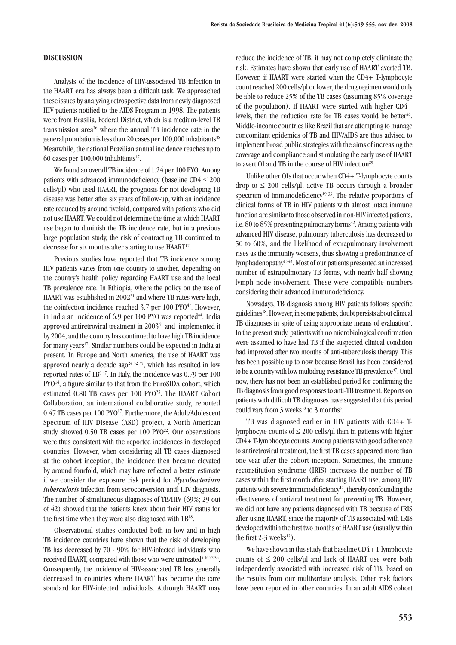### **DISCUSSION**

Analysis of the incidence of HIV-associated TB infection in the HAART era has always been a difficult task. We approached these issues by analyzing retrospective data from newly diagnosed HIV-patients notified to the AIDS Program in 1998. The patients were from Brasilia, Federal District, which is a medium-level TB transmission area26 where the annual TB incidence rate in the general population is less than 20 cases per  $100,000$  inhabitants<sup>38</sup> Meanwhile, the national Brazilian annual incidence reaches up to 60 cases per  $100,000$  inhabitants<sup>47</sup>.

We found an overall TB incidence of 1.24 per 100 PYO. Among patients with advanced immunodeficiency (baseline  $CD4 \leq 200$ cells/µl) who used HAART, the prognosis for not developing TB disease was better after six years of follow-up, with an incidence rate reduced by around fivefold, compared with patients who did not use HAART. We could not determine the time at which HAART use began to diminish the TB incidence rate, but in a previous large population study, the risk of contracting TB continued to decrease for six months after starting to use HAART<sup>17</sup>.

Previous studies have reported that TB incidence among HIV patients varies from one country to another, depending on the country's health policy regarding HAART use and the local TB prevalence rate. In Ethiopia, where the policy on the use of HAART was established in  $2002<sup>21</sup>$  and where TB rates were high, the coinfection incidence reached  $3.7$  per 100 PYO $47$ . However, in India an incidence of  $6.9$  per  $100$  PYO was reported<sup>44</sup>. India approved antiretroviral treatment in 2003<sup>41</sup> and implemented it by 2004, and the country has continued to have high TB incidence for many years $47$ . Similar numbers could be expected in India at present. In Europe and North America, the use of HAART was approved nearly a decade ago<sup>24 32</sup> <sup>35</sup>, which has resulted in low reported rates of  $TB^{9.47}$ . In Italy, the incidence was 0.79 per 100 PYO<sup>14</sup>, a figure similar to that from the EuroSIDA cohort, which estimated 0.80 TB cases per 100 PYO<sup>23</sup>. The HAART Cohort Collaboration, an international collaborative study, reported 0.47 TB cases per 100 PYO<sup>17</sup>. Furthermore, the Adult/Adolescent Spectrum of HIV Disease (ASD) project, a North American study, showed  $0.50$  TB cases per  $100$  PYO<sup>22</sup>. Our observations were thus consistent with the reported incidences in developed countries. However, when considering all TB cases diagnosed at the cohort inception, the incidence then became elevated by around fourfold, which may have reflected a better estimate if we consider the exposure risk period for *Mycobacterium tuberculosis* infection from seroconversion until HIV diagnosis. The number of simultaneous diagnoses of TB/HIV (69%; 29 out of 42) showed that the patients knew about their HIV status for the first time when they were also diagnosed with TB18.

Observational studies conducted both in low and in high TB incidence countries have shown that the risk of developing TB has decreased by 70 - 90% for HIV-infected individuals who received HAART, compared with those who were untreated<sup>4 16 22 36</sup>. Consequently, the incidence of HIV-associated TB has generally decreased in countries where HAART has become the care standard for HIV-infected individuals. Although HAART may

reduce the incidence of TB, it may not completely eliminate the risk. Estimates have shown that early use of HAART averted TB. However, if HAART were started when the CD4+ T-lymphocyte count reached 200 cells/µl or lower, the drug regimen would only be able to reduce 25% of the TB cases (assuming 85% coverage of the population). If HAART were started with higher CD4+ levels, then the reduction rate for TB cases would be better $46$ . Middle-income countries like Brazil that are attempting to manage concomitant epidemics of TB and HIV/AIDS are thus advised to implement broad public strategies with the aims of increasing the coverage and compliance and stimulating the early use of HAART to avert OI and TB in the course of HIV infection<sup>29</sup>.

Unlike other OIs that occur when CD4+ T-lymphocyte counts drop to  $\leq 200$  cells/µl, active TB occurs through a broader spectrum of immunodeficiency<sup>19 33</sup>. The relative proportions of clinical forms of TB in HIV patients with almost intact immune function are similar to those observed in non-HIV infected patients, i.e. 80 to 85% presenting pulmonary forms $42$ . Among patients with advanced HIV disease, pulmonary tuberculosis has decreased to 50 to 60%, and the likelihood of extrapulmonary involvement rises as the immunity worsens, thus showing a predominance of lymphadenopathy15 43. Most of our patients presented an increased number of extrapulmonary TB forms, with nearly half showing lymph node involvement. These were compatible numbers considering their advanced immunodeficiency.

Nowadays, TB diagnosis among HIV patients follows specific guidelines18. However, in some patients, doubt persists about clinical TB diagnoses in spite of using appropriate means of evaluation<sup>3</sup>. In the present study, patients with no microbiological confirmation were assumed to have had TB if the suspected clinical condition had improved after two months of anti-tuberculosis therapy. This has been possible up to now because Brazil has been considered to be a country with low multidrug-resistance TB prevalence<sup>47</sup>. Until now, there has not been an established period for confirming the TB diagnosis from good responses to anti-TB treatment. Reports on patients with difficult TB diagnoses have suggested that this period could vary from  $3$  weeks<sup>30</sup> to  $3$  months<sup>5</sup>.

TB was diagnosed earlier in HIV patients with CD4+ Tlymphocyte counts of  $\leq 200$  cells/ $\mu$ l than in patients with higher CD4+ T-lymphocyte counts. Among patients with good adherence to antiretroviral treatment, the first TB cases appeared more than one year after the cohort inception. Sometimes, the immune reconstitution syndrome (IRIS) increases the number of TB cases within the first month after starting HAART use, among HIV patients with severe immunodeficiency<sup>17</sup>, thereby confounding the effectiveness of antiviral treatment for preventing TB. However, we did not have any patients diagnosed with TB because of IRIS after using HAART, since the majority of TB associated with IRIS developed within the first two months of HAART use (usually within the first  $2-3$  weeks<sup>12</sup>).

We have shown in this study that baseline CD4+ T-lymphocyte counts of  $\leq 200$  cells/µl and lack of HAART use were both independently associated with increased risk of TB, based on the results from our multivariate analysis. Other risk factors have been reported in other countries. In an adult AIDS cohort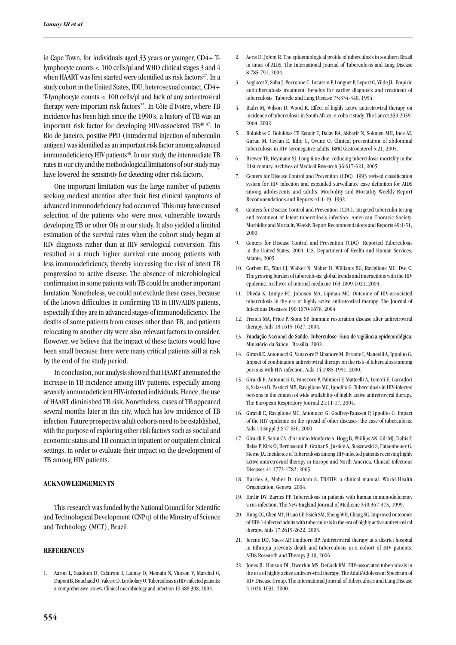in Cape Town, for individuals aged 33 years or younger, CD4+ Tlymphocyte counts < 100 cells/µl and WHO clinical stages 3 and 4 when HAART was first started were identified as risk factors<sup>27</sup>. In a study cohort in the United States, IDU, heterosexual contact, CD4+ T-lymphocyte counts < 100 cells/µl and lack of any antiretroviral therapy were important risk factors<sup>22</sup>. In Côte d'Ivoire, where TB incidence has been high since the 1990's, a history of TB was an important risk factor for developing HIV-associated TB<sup>40 47</sup>. In Rio de Janeiro, positive PPD (intradermal injection of tuberculin antigen) was identified as an important risk factor among advanced immunodeficiency HIV patients<sup>36</sup>. In our study, the intermediate TB rates in our city and the methodological limitations of our study may have lowered the sensitivity for detecting other risk factors.

One important limitation was the large number of patients seeking medical attention after their first clinical symptoms of advanced immunodeficiency had occurred. This may have caused selection of the patients who were most vulnerable towards developing TB or other OIs in our study. It also yielded a limited estimation of the survival rates when the cohort study began at HIV diagnosis rather than at HIV serological conversion. This resulted in a much higher survival rate among patients with less immunodeficiency, thereby increasing the risk of latent TB progression to active disease. The absence of microbiological confirmation in some patients with TB could be another important limitation. Nonetheless, we could not exclude these cases, because of the known difficulties in confirming TB in HIV/AIDS patients, especially if they are in advanced stages of immunodeficiency. The deaths of some patients from causes other than TB, and patients relocating to another city were also relevant factors to consider. However, we believe that the impact of these factors would have been small because there were many critical patients still at risk by the end of the study period.

In conclusion, our analysis showed that HAART attenuated the increase in TB incidence among HIV patients, especially among severely immunodeficient HIV-infected individuals. Hence, the use of HAART diminished TB risk. Nonetheless, cases of TB appeared several months later in this city, which has low incidence of TB infection. Future prospective adult cohorts need to be established, with the purpose of exploring other risk factors such as social and economic status and TB contact in inpatient or outpatient clinical settings, in order to evaluate their impact on the development of TB among HIV patients.

## **Acknowledgements**

This research was funded by the National Council for Scientific and Technological Development (CNPq) of the Ministry of Science and Technology (MCT), Brazil.

#### **References**

1. Aaron L, Saadoun D, Calatroni I, Launay O, Memain N, Vincent V, Marchal G, Dupont B, Bouchaud O, Valeyre D, Lortholary O. Tuberculosis in HIV-infected patients: a comprehensive review. Clinical microbiology and infection 10:388-398, 2004.

- 2. Aerts D, Jobim R. The epidemiological profile of tuberculosis in southern Brazil in times of AIDS. The International Journal of Tuberculosis and Lung Disease 8:785-791, 2004.
- 3. Anglaret X, Saba J, Perronne C, Lacassin F, Longuet P, Leport C, Vilde JL. Empiric antituberculosis treatment: benefits for earlier diagnosis and treatment of tuberculosis. Tubercle and Lung Disease 75:334-340, 1994.
- 4. Badri M, Wilson D, Wood R. Effect of highly active antiretroviral therapy on incidence of tuberculosis in South Africa: a cohort study. The Lancet 359:2059- 2064, 2002.
- 5. Bolukbas C, Bolukbas FF, Kendir T, Dalay RA, Akbayir N, Sokmen MH, Ince AT, Guran M, Ceylan E, Kilic G, Ovunc O. Clinical presentation of abdominal tuberculosis in HIV seronegative adults. BMC Gastroenterol 5:21, 2005.
- 6. Brewer TF, Heymann SJ. Long time due: reducing tuberculosis mortality in the 21st century. Archives of Medical Research 36:617-621, 2005.
- 7. Centers for Disease Control and Prevention (CDC). 1993 revised classification system for HIV infection and expanded surveillance case definition for AIDS among adolescents and adults. Morbidity and Mortality Weekly Report Recommendations and Reports 41:1-19, 1992.
- 8. Centers for Disease Control and Prevention (CDC). Targeted tuberculin testing and treatment of latent tuberculosis infection. American Thoracic Society. Morbidity and Mortality Weekly Report Recommendations and Reports 49:1-51, 2000.
- 9. Centers for Disease Control and Prevention (CDC). Reported Tuberculosis in the United States, 2004. U.S. Department of Health and Human Services; Atlanta, 2005.
- 10. Corbett EL, Watt CJ, Walker N, Maher D, Williams BG, Raviglione MC, Dye C. The growing burden of tuberculosis: global trends and interactions with the HIV epidemic. Archives of internal medicine 163:1009-1021, 2003.
- 11. Dheda K, Lampe FC, Johnson MA, Lipman MC. Outcome of HIV-associated tuberculosis in the era of highly active antiretroviral therapy. The Journal of Infectious Diseases 190:1670-1676, 2004.
- 12. French MA, Price P, Stone SF. Immune restoration disease after antiretroviral therapy. Aids 18:1615-1627, 2004.
- 13. Fundação Nacional de Saúde. Tuberculose: Guia de vigilância epidemiológica. Ministério da Saúde, Brasília, 2002.
- 14. Girardi E, Antonucci G, Vanacore P, Libanore M, Errante I, Matteelli A, Ippolito G. Impact of combination antiretroviral therapy on the risk of tuberculosis among persons with HIV infection. Aids 14:1985-1991, 2000.
- 15. Girardi E, Antonucci G, Vanacore P, Palmieri F, Matteelli A, Lemoli E, Carradori S, Salassa B, Pasticci MB, Raviglione MC, Ippolito G. Tuberculosis in HIV-infected persons in the context of wide availability of highly active antiretroviral therapy. The European Respiratory Journal 24:11-17, 2004.
- 16. Girardi E, Raviglione MC, Antonucci G, Godfrey-Faussett P, Ippolito G. Impact of the HIV epidemic on the spread of other diseases: the case of tuberculosis. Aids 14 Suppl 3:S47-S56, 2000.
- 17. Girardi E, Sabin CA, d'Arminio Monforte A, Hogg B, Phillips AN, Gill MJ, Dabis F, Reiss P, Kirk O, Bernasconi E, Grabar S, Justice A, Staszewski S, Fatkenheuer G, Sterne JA. Incidence of Tuberculosis among HIV-infected patients receiving highly active antiretroviral therapy in Europe and North America. Clinical Infectious Diseases 41:1772-1782, 2005.
- 18. Harries A, Maher D, Graham S. TB/HIV: a clinical manual. World Health Organization, Geneva, 2004.
- 19. Havlir DV, Barnes PF. Tuberculosis in patients with human immunodeficiency virus infection. The New England Journal of Medicine 340:367-373, 1999.
- 20. Hung CC, Chen MY, Hsiao CF, Hsieh SM, Sheng WH, Chang SC. Improved outcomes of HIV-1-infected adults with tuberculosis in the era of highly active antiretroviral therapy. Aids 17:2615-2622, 2003.
- 21. Jerene DD, Naess AP, Lindtjorn BP. Antiretroviral therapy at a district hospital in Ethiopia prevents death and tuberculosis in a cohort of HIV patients. AIDS Research and Therapy 3:10, 2006.
- 22. Jones JL, Hanson DL, Dworkin MS, DeCock KM. HIV-associated tuberculosis in the era of highly active antiretroviral therapy. The Adult/Adolescent Spectrum of HIV Disease Group. The International Journal of Tuberculosis and Lung Disease 4:1026-1031, 2000.